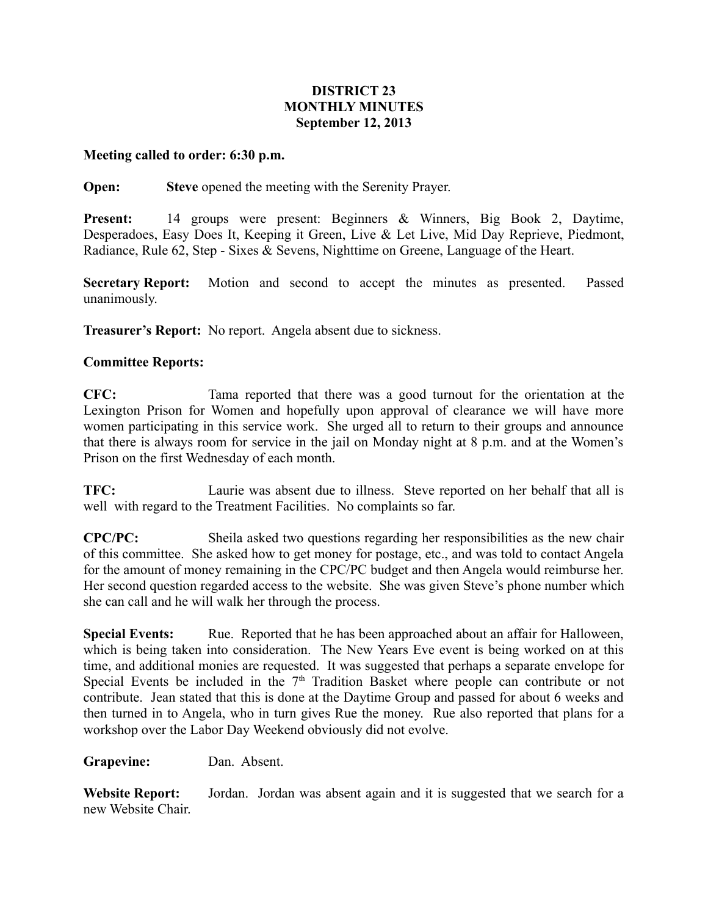## **DISTRICT 23 MONTHLY MINUTES September 12, 2013**

## **Meeting called to order: 6:30 p.m.**

## **Open: Steve** opened the meeting with the Serenity Prayer.

**Present:** 14 groups were present: Beginners & Winners, Big Book 2, Daytime, Desperadoes, Easy Does It, Keeping it Green, Live & Let Live, Mid Day Reprieve, Piedmont, Radiance, Rule 62, Step - Sixes & Sevens, Nighttime on Greene, Language of the Heart.

**Secretary Report:** Motion and second to accept the minutes as presented. Passed unanimously.

**Treasurer's Report:** No report. Angela absent due to sickness.

## **Committee Reports:**

**CFC:** Tama reported that there was a good turnout for the orientation at the Lexington Prison for Women and hopefully upon approval of clearance we will have more women participating in this service work. She urged all to return to their groups and announce that there is always room for service in the jail on Monday night at 8 p.m. and at the Women's Prison on the first Wednesday of each month.

**TFC:** Laurie was absent due to illness. Steve reported on her behalf that all is well with regard to the Treatment Facilities. No complaints so far.

**CPC/PC:** Sheila asked two questions regarding her responsibilities as the new chair of this committee. She asked how to get money for postage, etc., and was told to contact Angela for the amount of money remaining in the CPC/PC budget and then Angela would reimburse her. Her second question regarded access to the website. She was given Steve's phone number which she can call and he will walk her through the process.

**Special Events:** Rue. Reported that he has been approached about an affair for Halloween, which is being taken into consideration. The New Years Eve event is being worked on at this time, and additional monies are requested. It was suggested that perhaps a separate envelope for Special Events be included in the  $7<sup>th</sup>$  Tradition Basket where people can contribute or not contribute. Jean stated that this is done at the Daytime Group and passed for about 6 weeks and then turned in to Angela, who in turn gives Rue the money. Rue also reported that plans for a workshop over the Labor Day Weekend obviously did not evolve.

**Grapevine:** Dan. Absent.

**Website Report:** Jordan. Jordan was absent again and it is suggested that we search for a new Website Chair.